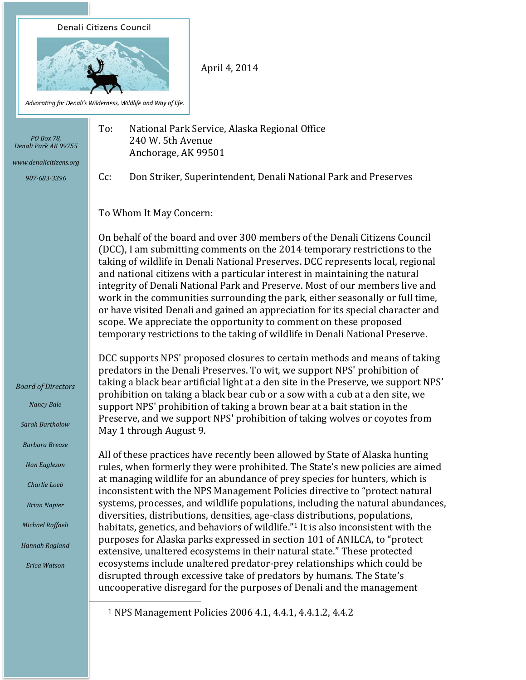



April 4, 2014

Advocating for Denali's Wilderness, Wildlife and Way of life.

| PO Box 78,<br>Denali Park AK 99755<br>www.denalicitizens.org      | To:<br>National Park Service, Alaska Regional Office<br>240 W. 5th Avenue<br>Anchorage, AK 99501                                                                                                                                                                                                                                                                                                                                                                                                                                                                                                                                                                                                                                    |
|-------------------------------------------------------------------|-------------------------------------------------------------------------------------------------------------------------------------------------------------------------------------------------------------------------------------------------------------------------------------------------------------------------------------------------------------------------------------------------------------------------------------------------------------------------------------------------------------------------------------------------------------------------------------------------------------------------------------------------------------------------------------------------------------------------------------|
| 907-683-3396                                                      | Don Striker, Superintendent, Denali National Park and Preserves<br>$Cc$ :                                                                                                                                                                                                                                                                                                                                                                                                                                                                                                                                                                                                                                                           |
|                                                                   | To Whom It May Concern:                                                                                                                                                                                                                                                                                                                                                                                                                                                                                                                                                                                                                                                                                                             |
|                                                                   | On behalf of the board and over 300 members of the Denali Citizens Council<br>(DCC), I am submitting comments on the 2014 temporary restrictions to the<br>taking of wildlife in Denali National Preserves. DCC represents local, regional<br>and national citizens with a particular interest in maintaining the natural<br>integrity of Denali National Park and Preserve. Most of our members live and<br>work in the communities surrounding the park, either seasonally or full time,<br>or have visited Denali and gained an appreciation for its special character and<br>scope. We appreciate the opportunity to comment on these proposed<br>temporary restrictions to the taking of wildlife in Denali National Preserve. |
| <b>Board of Directors</b><br><b>Nancy Bale</b><br>Sarah Bartholow | DCC supports NPS' proposed closures to certain methods and means of taking<br>predators in the Denali Preserves. To wit, we support NPS' prohibition of<br>taking a black bear artificial light at a den site in the Preserve, we support NPS'<br>prohibition on taking a black bear cub or a sow with a cub at a den site, we<br>support NPS' prohibition of taking a brown bear at a bait station in the<br>Preserve, and we support NPS' prohibition of taking wolves or coyotes from<br>May 1 through August 9.                                                                                                                                                                                                                 |
| <b>Barbara Brease</b><br>Nan Eagleson                             | All of these practices have recently been allowed by State of Alaska hunting<br>rules, when formerly they were prohibited. The State's new policies are aimed                                                                                                                                                                                                                                                                                                                                                                                                                                                                                                                                                                       |
| Charlie Loeb                                                      | at managing wildlife for an abundance of prey species for hunters, which is<br>inconsistent with the NPS Management Policies directive to "protect natural                                                                                                                                                                                                                                                                                                                                                                                                                                                                                                                                                                          |
| <b>Brian Napier</b>                                               | systems, processes, and wildlife populations, including the natural abundances,<br>diversities, distributions, densities, age-class distributions, populations,                                                                                                                                                                                                                                                                                                                                                                                                                                                                                                                                                                     |
| Michael Raffaeli<br>Hannah Ragland                                | habitats, genetics, and behaviors of wildlife." <sup>1</sup> It is also inconsistent with the<br>purposes for Alaska parks expressed in section 101 of ANILCA, to "protect                                                                                                                                                                                                                                                                                                                                                                                                                                                                                                                                                          |
| <b>Erica Watson</b>                                               | extensive, unaltered ecosystems in their natural state." These protected<br>ecosystems include unaltered predator-prey relationships which could be<br>disrupted through excessive take of predators by humans. The State's<br>uncooperative disregard for the purposes of Denali and the management                                                                                                                                                                                                                                                                                                                                                                                                                                |

<sup>1</sup> NPS Management Policies 2006 4.1, 4.4.1, 4.4.1.2, 4.4.2